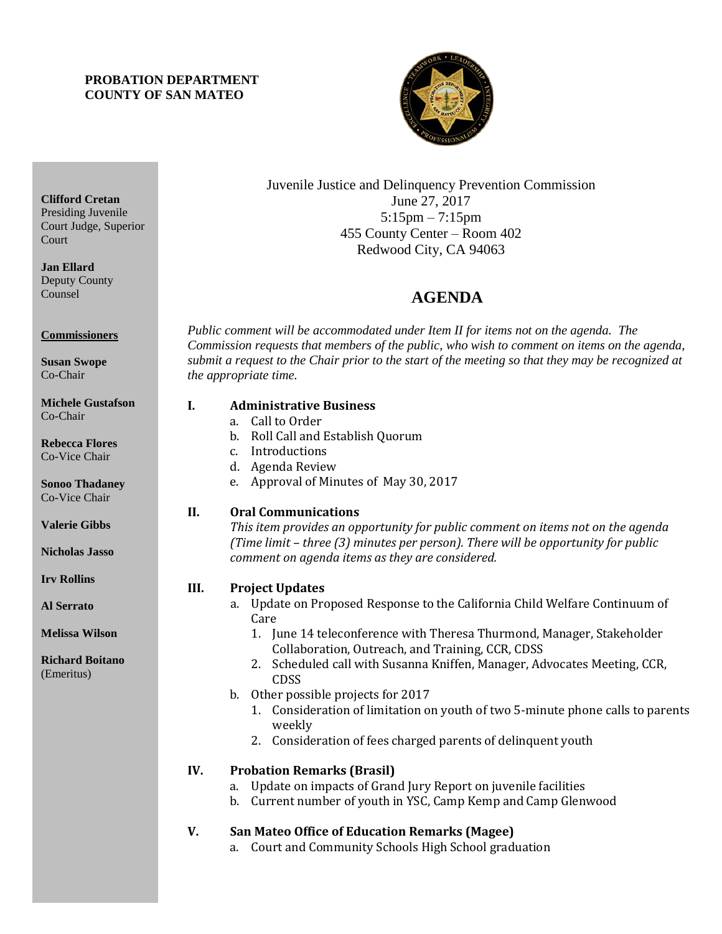## **PROBATION DEPARTMENT COUNTY OF SAN MATEO**



Juvenile Justice and Delinquency Prevention Commission June 27, 2017 5:15pm – 7:15pm 455 County Center – Room 402 Redwood City, CA 94063

# 4B**AGENDA**

*Public comment will be accommodated under Item II for items not on the agenda. The Commission requests that members of the public, who wish to comment on items on the agenda, submit a request to the Chair prior to the start of the meeting so that they may be recognized at the appropriate time.* 

#### **I. Administrative Business**

- a. Call to Order
- b. Roll Call and Establish Quorum
- c. Introductions
- d. Agenda Review
- e. Approval of Minutes of May 30, 2017

## **II. Oral Communications**

*This item provides an opportunity for public comment on items not on the agenda (Time limit – three (3) minutes per person). There will be opportunity for public comment on agenda items as they are considered.*

## **III. Project Updates**

- a. Update on Proposed Response to the California Child Welfare Continuum of Care
	- 1. June 14 teleconference with Theresa Thurmond, Manager, Stakeholder Collaboration, Outreach, and Training, CCR, CDSS
	- 2. Scheduled call with Susanna Kniffen, Manager, Advocates Meeting, CCR, CDSS
- b. Other possible projects for 2017
	- 1. Consideration of limitation on youth of two 5-minute phone calls to parents weekly
	- 2. Consideration of fees charged parents of delinquent youth

## **IV. Probation Remarks (Brasil)**

- a. Update on impacts of Grand Jury Report on juvenile facilities
- b. Current number of youth in YSC, Camp Kemp and Camp Glenwood

## **V. San Mateo Office of Education Remarks (Magee)**

a. Court and Community Schools High School graduation

**Clifford Cretan** Presiding Juvenile Court Judge, Superior **Court** 

**Jan Ellard** Deputy County Counsel

**Commissioners**

**Susan Swope** Co-Chair

**Michele Gustafson** Co-Chair

**Rebecca Flores** Co-Vice Chair

**Sonoo Thadaney** Co-Vice Chair

**Valerie Gibbs**

**Nicholas Jasso**

**Irv Rollins** 

**Al Serrato**

**Melissa Wilson**

**Richard Boitano** (Emeritus)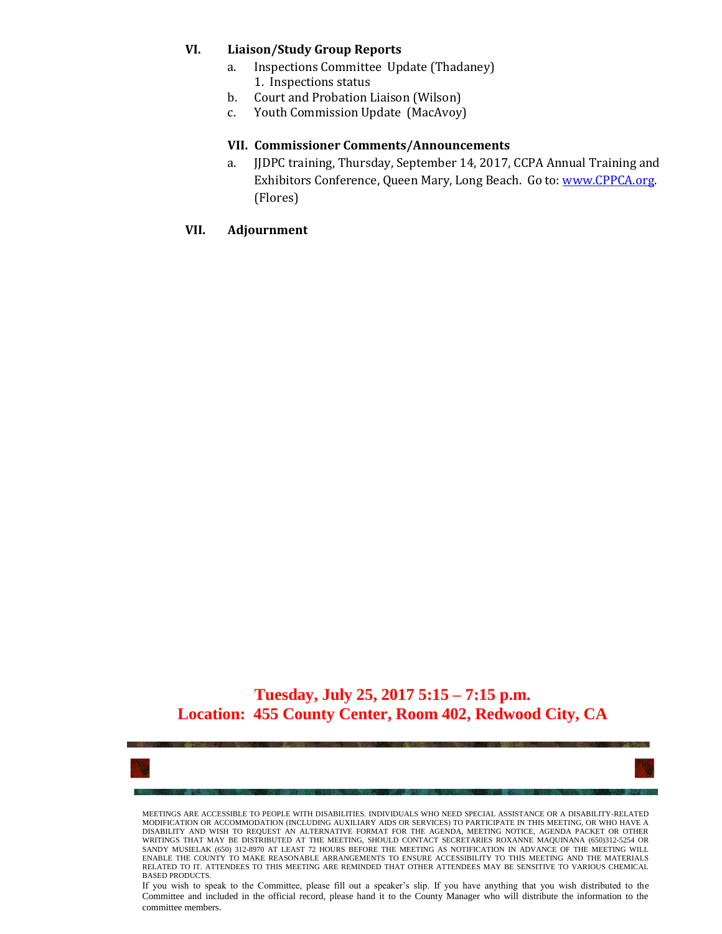#### **VI. Liaison/Study Group Reports**

- a. Inspections Committee Update (Thadaney) 1. Inspections status
- b. Court and Probation Liaison (Wilson)
- c. Youth Commission Update (MacAvoy)

#### **VII. Commissioner Comments/Announcements**

a. JJDPC training, Thursday, September 14, 2017, CCPA Annual Training and Exhibitors Conference, Queen Mary, Long Beach. Go to: [www.CPPCA.org.](http://www.cppca.org/) (Flores)

#### **VII. Adjournment**

# **Tuesday, July 25, 2017 5:15 – 7:15 p.m. Location: 455 County Center, Room 402, Redwood City, CA**



MEETINGS ARE ACCESSIBLE TO PEOPLE WITH DISABILITIES. INDIVIDUALS WHO NEED SPECIAL ASSISTANCE OR A DISABILITY-RELATED MODIFICATION OR ACCOMMODATION (INCLUDING AUXILIARY AIDS OR SERVICES) TO PARTICIPATE IN THIS MEETING, OR WHO HAVE A DISABILITY AND WISH TO REQUEST AN ALTERNATIVE FORMAT FOR THE AGENDA, MEETING NOTICE, AGENDA PACKET OR OTHER WRITINGS THAT MAY BE DISTRIBUTED AT THE MEETING, SHOULD CONTACT SECRETARIES ROXANNE MAQUINANA (650)312-5254 OR SANDY MUSIELAK (650) 312-8970 AT LEAST 72 HOURS BEFORE THE MEETING AS NOTIFICATION IN ADVANCE OF THE MEETING WILL ENABLE THE COUNTY TO MAKE REASONABLE ARRANGEMENTS TO ENSURE ACCESSIBILITY TO THIS MEETING AND THE MATERIALS<br>RELATED TO IT. ATTENDEES TO THIS MEETING ARE REMINDED THAT OTHER ATTENDEES MAY BE SENSITIVE TO VARIOUS CHEMICAL BASED PRODUCTS.

If you wish to speak to the Committee, please fill out a speaker's slip. If you have anything that you wish distributed to the Committee and included in the official record, please hand it to the County Manager who will distribute the information to the committee members.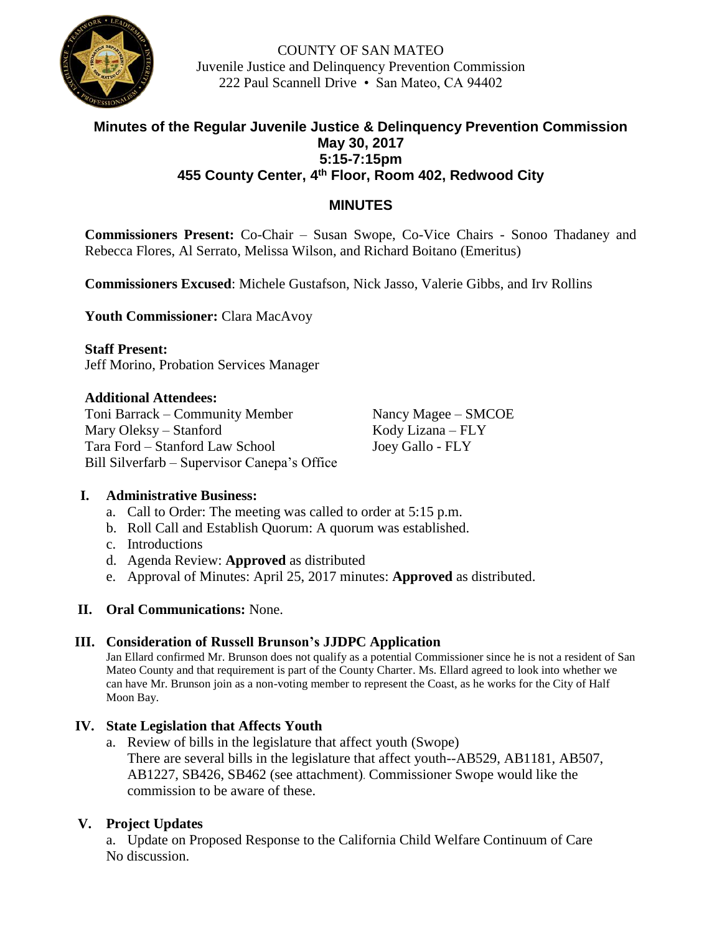

COUNTY OF SAN MATEO Juvenile Justice and Delinquency Prevention Commission 222 Paul Scannell Drive • San Mateo, CA 94402

# **Minutes of the Regular Juvenile Justice & Delinquency Prevention Commission May 30, 2017 5:15-7:15pm 455 County Center, 4 th Floor, Room 402, Redwood City**

# **MINUTES**

**Commissioners Present:** Co-Chair – Susan Swope, Co-Vice Chairs - Sonoo Thadaney and Rebecca Flores, Al Serrato, Melissa Wilson, and Richard Boitano (Emeritus)

**Commissioners Excused**: Michele Gustafson, Nick Jasso, Valerie Gibbs, and Irv Rollins

**Youth Commissioner:** Clara MacAvoy

**Staff Present:** Jeff Morino, Probation Services Manager

## **Additional Attendees:**

Toni Barrack – Community Member Nancy Magee – SMCOE Mary Oleksy – Stanford Kody Lizana – FLY Tara Ford – Stanford Law School Joey Gallo - FLY Bill Silverfarb – Supervisor Canepa's Office

# **I. Administrative Business:**

- a. Call to Order: The meeting was called to order at 5:15 p.m.
- b. Roll Call and Establish Quorum: A quorum was established.
- c. Introductions
- d. Agenda Review: **Approved** as distributed
- e. Approval of Minutes: April 25, 2017 minutes: **Approved** as distributed.

## **II. Oral Communications:** None.

## **III. Consideration of Russell Brunson's JJDPC Application**

Jan Ellard confirmed Mr. Brunson does not qualify as a potential Commissioner since he is not a resident of San Mateo County and that requirement is part of the County Charter. Ms. Ellard agreed to look into whether we can have Mr. Brunson join as a non-voting member to represent the Coast, as he works for the City of Half Moon Bay.

# **IV. State Legislation that Affects Youth**

a. Review of bills in the legislature that affect youth (Swope) There are several bills in the legislature that affect youth--AB529, AB1181, AB507, AB1227, SB426, SB462 (see attachment)*.* Commissioner Swope would like the commission to be aware of these.

# **V. Project Updates**

a. Update on Proposed Response to the California Child Welfare Continuum of Care No discussion.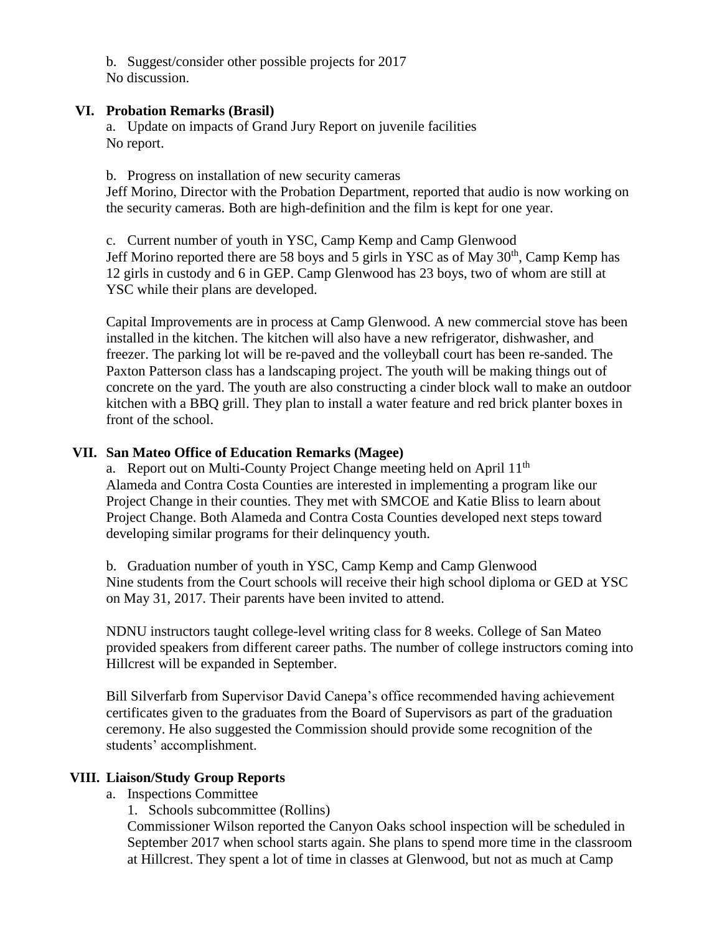b. Suggest/consider other possible projects for 2017 No discussion.

## **VI. Probation Remarks (Brasil)**

a. Update on impacts of Grand Jury Report on juvenile facilities No report.

b. Progress on installation of new security cameras

Jeff Morino, Director with the Probation Department, reported that audio is now working on the security cameras. Both are high-definition and the film is kept for one year.

c. Current number of youth in YSC, Camp Kemp and Camp Glenwood Jeff Morino reported there are 58 boys and 5 girls in YSC as of May  $30<sup>th</sup>$ , Camp Kemp has 12 girls in custody and 6 in GEP. Camp Glenwood has 23 boys, two of whom are still at YSC while their plans are developed.

Capital Improvements are in process at Camp Glenwood. A new commercial stove has been installed in the kitchen. The kitchen will also have a new refrigerator, dishwasher, and freezer. The parking lot will be re-paved and the volleyball court has been re-sanded. The Paxton Patterson class has a landscaping project. The youth will be making things out of concrete on the yard. The youth are also constructing a cinder block wall to make an outdoor kitchen with a BBQ grill. They plan to install a water feature and red brick planter boxes in front of the school.

# **VII. San Mateo Office of Education Remarks (Magee)**

a. Report out on Multi-County Project Change meeting held on April 11<sup>th</sup> Alameda and Contra Costa Counties are interested in implementing a program like our Project Change in their counties. They met with SMCOE and Katie Bliss to learn about Project Change. Both Alameda and Contra Costa Counties developed next steps toward developing similar programs for their delinquency youth.

b. Graduation number of youth in YSC, Camp Kemp and Camp Glenwood Nine students from the Court schools will receive their high school diploma or GED at YSC on May 31, 2017. Their parents have been invited to attend.

NDNU instructors taught college-level writing class for 8 weeks. College of San Mateo provided speakers from different career paths. The number of college instructors coming into Hillcrest will be expanded in September.

Bill Silverfarb from Supervisor David Canepa's office recommended having achievement certificates given to the graduates from the Board of Supervisors as part of the graduation ceremony. He also suggested the Commission should provide some recognition of the students' accomplishment.

## **VIII. Liaison/Study Group Reports**

a. Inspections Committee

1. Schools subcommittee (Rollins)

Commissioner Wilson reported the Canyon Oaks school inspection will be scheduled in September 2017 when school starts again. She plans to spend more time in the classroom at Hillcrest. They spent a lot of time in classes at Glenwood, but not as much at Camp